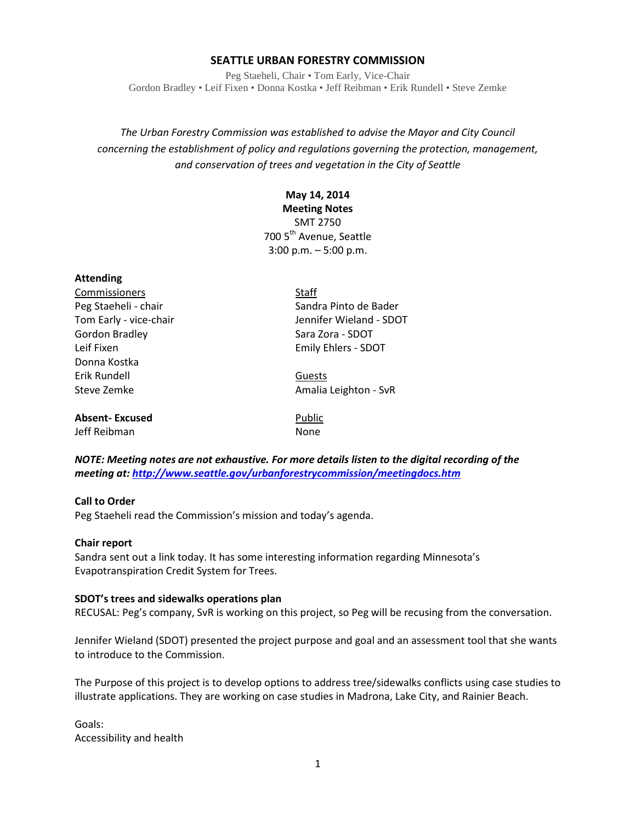#### **SEATTLE URBAN FORESTRY COMMISSION**

Peg Staeheli, Chair • Tom Early, Vice-Chair Gordon Bradley • Leif Fixen • Donna Kostka • Jeff Reibman • Erik Rundell • Steve Zemke

*The Urban Forestry Commission was established to advise the Mayor and City Council concerning the establishment of policy and regulations governing the protection, management, and conservation of trees and vegetation in the City of Seattle*

## **May 14, 2014**

**Meeting Notes**

SMT 2750 700 5<sup>th</sup> Avenue, Seattle 3:00 p.m. – 5:00 p.m.

| <b>Attending</b>       |                         |
|------------------------|-------------------------|
| Commissioners          | Staff                   |
| Peg Staeheli - chair   | Sandra Pinto de Bader   |
| Tom Early - vice-chair | Jennifer Wieland - SDOT |
| Gordon Bradley         | Sara Zora - SDOT        |
| Leif Fixen             | Emily Ehlers - SDOT     |
| Donna Kostka           |                         |
| Frik Rundell           | Guests                  |
| Steve Zemke            | Amalia Leighton - SvR   |
|                        |                         |
| <b>Absent-Excused</b>  | Public                  |
| Jeff Reibman           | None                    |
|                        |                         |

*NOTE: Meeting notes are not exhaustive. For more details listen to the digital recording of the meeting at[: http://www.seattle.gov/urbanforestrycommission/meetingdocs.htm](http://www.seattle.gov/urbanforestrycommission/meetingdocs.htm)*

#### **Call to Order**

Peg Staeheli read the Commission's mission and today's agenda.

#### **Chair report**

Sandra sent out a link today. It has some interesting information regarding Minnesota's Evapotranspiration Credit System for Trees.

#### **SDOT's trees and sidewalks operations plan**

RECUSAL: Peg's company, SvR is working on this project, so Peg will be recusing from the conversation.

Jennifer Wieland (SDOT) presented the project purpose and goal and an assessment tool that she wants to introduce to the Commission.

The Purpose of this project is to develop options to address tree/sidewalks conflicts using case studies to illustrate applications. They are working on case studies in Madrona, Lake City, and Rainier Beach.

Goals: Accessibility and health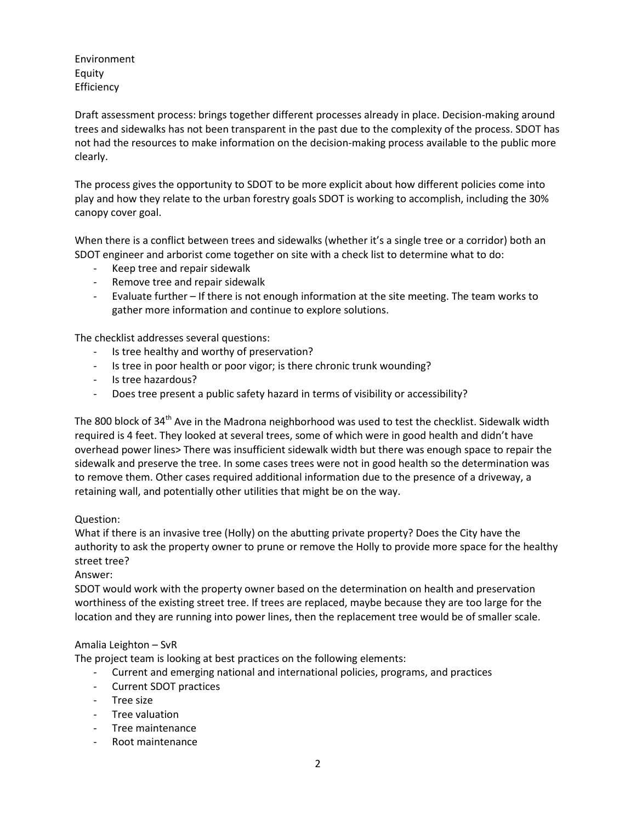Environment Equity **Efficiency** 

Draft assessment process: brings together different processes already in place. Decision-making around trees and sidewalks has not been transparent in the past due to the complexity of the process. SDOT has not had the resources to make information on the decision-making process available to the public more clearly.

The process gives the opportunity to SDOT to be more explicit about how different policies come into play and how they relate to the urban forestry goals SDOT is working to accomplish, including the 30% canopy cover goal.

When there is a conflict between trees and sidewalks (whether it's a single tree or a corridor) both an SDOT engineer and arborist come together on site with a check list to determine what to do:

- Keep tree and repair sidewalk
- Remove tree and repair sidewalk
- Evaluate further If there is not enough information at the site meeting. The team works to gather more information and continue to explore solutions.

The checklist addresses several questions:

- Is tree healthy and worthy of preservation?
- Is tree in poor health or poor vigor; is there chronic trunk wounding?
- Is tree hazardous?
- Does tree present a public safety hazard in terms of visibility or accessibility?

The 800 block of 34<sup>th</sup> Ave in the Madrona neighborhood was used to test the checklist. Sidewalk width required is 4 feet. They looked at several trees, some of which were in good health and didn't have overhead power lines> There was insufficient sidewalk width but there was enough space to repair the sidewalk and preserve the tree. In some cases trees were not in good health so the determination was to remove them. Other cases required additional information due to the presence of a driveway, a retaining wall, and potentially other utilities that might be on the way.

## Question:

What if there is an invasive tree (Holly) on the abutting private property? Does the City have the authority to ask the property owner to prune or remove the Holly to provide more space for the healthy street tree?

Answer:

SDOT would work with the property owner based on the determination on health and preservation worthiness of the existing street tree. If trees are replaced, maybe because they are too large for the location and they are running into power lines, then the replacement tree would be of smaller scale.

## Amalia Leighton – SvR

The project team is looking at best practices on the following elements:

- Current and emerging national and international policies, programs, and practices
- Current SDOT practices
- Tree size
- Tree valuation
- Tree maintenance
- Root maintenance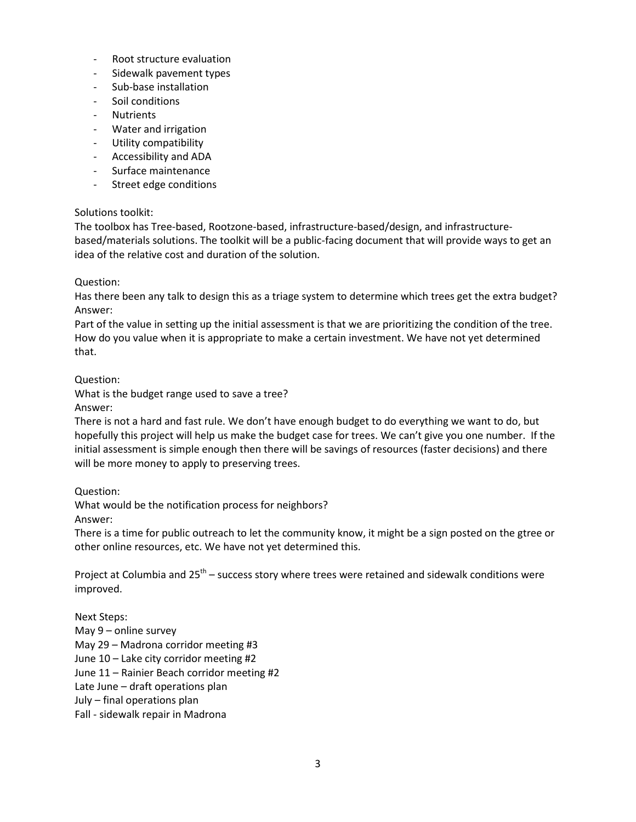- Root structure evaluation
- Sidewalk pavement types
- Sub-base installation
- Soil conditions
- **Nutrients**
- Water and irrigation
- Utility compatibility
- Accessibility and ADA
- Surface maintenance
- Street edge conditions

## Solutions toolkit:

The toolbox has Tree-based, Rootzone-based, infrastructure-based/design, and infrastructurebased/materials solutions. The toolkit will be a public-facing document that will provide ways to get an idea of the relative cost and duration of the solution.

## Question:

Has there been any talk to design this as a triage system to determine which trees get the extra budget? Answer:

Part of the value in setting up the initial assessment is that we are prioritizing the condition of the tree. How do you value when it is appropriate to make a certain investment. We have not yet determined that.

Question:

What is the budget range used to save a tree?

Answer:

There is not a hard and fast rule. We don't have enough budget to do everything we want to do, but hopefully this project will help us make the budget case for trees. We can't give you one number. If the initial assessment is simple enough then there will be savings of resources (faster decisions) and there will be more money to apply to preserving trees.

## Question:

What would be the notification process for neighbors?

Answer:

There is a time for public outreach to let the community know, it might be a sign posted on the gtree or other online resources, etc. We have not yet determined this.

Project at Columbia and  $25<sup>th</sup>$  – success story where trees were retained and sidewalk conditions were improved.

Next Steps: May 9 – online survey May 29 – Madrona corridor meeting #3 June 10 – Lake city corridor meeting #2 June 11 – Rainier Beach corridor meeting #2 Late June – draft operations plan July – final operations plan Fall - sidewalk repair in Madrona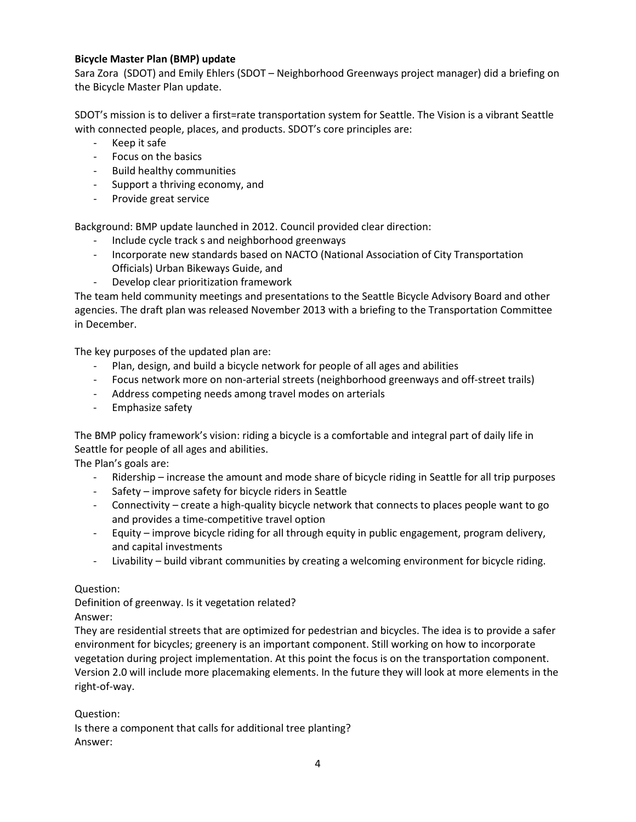## **Bicycle Master Plan (BMP) update**

Sara Zora (SDOT) and Emily Ehlers (SDOT – Neighborhood Greenways project manager) did a briefing on the Bicycle Master Plan update.

SDOT's mission is to deliver a first=rate transportation system for Seattle. The Vision is a vibrant Seattle with connected people, places, and products. SDOT's core principles are:

- Keep it safe
- Focus on the basics
- Build healthy communities
- Support a thriving economy, and
- Provide great service

Background: BMP update launched in 2012. Council provided clear direction:

- Include cycle track s and neighborhood greenways
- Incorporate new standards based on NACTO (National Association of City Transportation Officials) Urban Bikeways Guide, and
- Develop clear prioritization framework

The team held community meetings and presentations to the Seattle Bicycle Advisory Board and other agencies. The draft plan was released November 2013 with a briefing to the Transportation Committee in December.

The key purposes of the updated plan are:

- Plan, design, and build a bicycle network for people of all ages and abilities
- Focus network more on non-arterial streets (neighborhood greenways and off-street trails)
- Address competing needs among travel modes on arterials
- Emphasize safety

The BMP policy framework's vision: riding a bicycle is a comfortable and integral part of daily life in Seattle for people of all ages and abilities.

The Plan's goals are:

- Ridership increase the amount and mode share of bicycle riding in Seattle for all trip purposes
- Safety improve safety for bicycle riders in Seattle
- Connectivity create a high-quality bicycle network that connects to places people want to go and provides a time-competitive travel option
- Equity improve bicycle riding for all through equity in public engagement, program delivery, and capital investments
- Livability build vibrant communities by creating a welcoming environment for bicycle riding.

## Question:

Definition of greenway. Is it vegetation related? Answer:

They are residential streets that are optimized for pedestrian and bicycles. The idea is to provide a safer environment for bicycles; greenery is an important component. Still working on how to incorporate vegetation during project implementation. At this point the focus is on the transportation component. Version 2.0 will include more placemaking elements. In the future they will look at more elements in the right-of-way.

## Question:

Is there a component that calls for additional tree planting? Answer: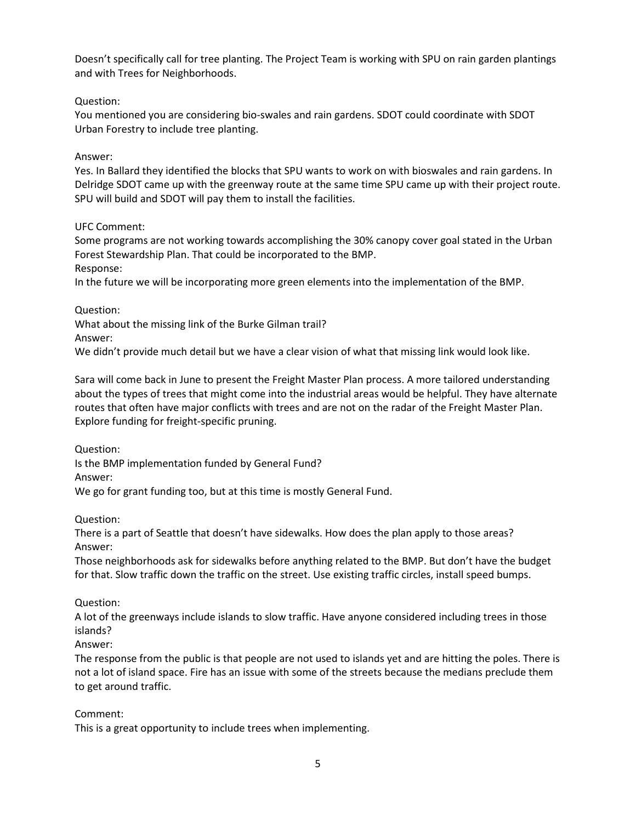Doesn't specifically call for tree planting. The Project Team is working with SPU on rain garden plantings and with Trees for Neighborhoods.

# Question:

You mentioned you are considering bio-swales and rain gardens. SDOT could coordinate with SDOT Urban Forestry to include tree planting.

## Answer:

Yes. In Ballard they identified the blocks that SPU wants to work on with bioswales and rain gardens. In Delridge SDOT came up with the greenway route at the same time SPU came up with their project route. SPU will build and SDOT will pay them to install the facilities.

## UFC Comment:

Some programs are not working towards accomplishing the 30% canopy cover goal stated in the Urban Forest Stewardship Plan. That could be incorporated to the BMP. Response:

In the future we will be incorporating more green elements into the implementation of the BMP.

## Question:

What about the missing link of the Burke Gilman trail?

Answer:

We didn't provide much detail but we have a clear vision of what that missing link would look like.

Sara will come back in June to present the Freight Master Plan process. A more tailored understanding about the types of trees that might come into the industrial areas would be helpful. They have alternate routes that often have major conflicts with trees and are not on the radar of the Freight Master Plan. Explore funding for freight-specific pruning.

Question:

Is the BMP implementation funded by General Fund?

Answer:

We go for grant funding too, but at this time is mostly General Fund.

Question:

There is a part of Seattle that doesn't have sidewalks. How does the plan apply to those areas? Answer:

Those neighborhoods ask for sidewalks before anything related to the BMP. But don't have the budget for that. Slow traffic down the traffic on the street. Use existing traffic circles, install speed bumps.

# Question:

A lot of the greenways include islands to slow traffic. Have anyone considered including trees in those islands?

# Answer:

The response from the public is that people are not used to islands yet and are hitting the poles. There is not a lot of island space. Fire has an issue with some of the streets because the medians preclude them to get around traffic.

## Comment:

This is a great opportunity to include trees when implementing.